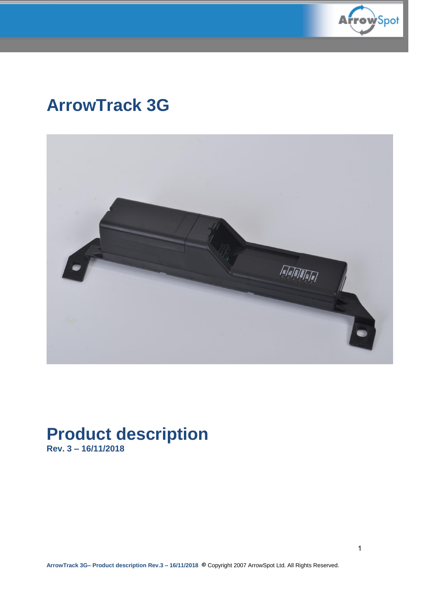

# **ArrowTrack 3G**



# **Product description**

**Rev. 3 – 16/11/2018**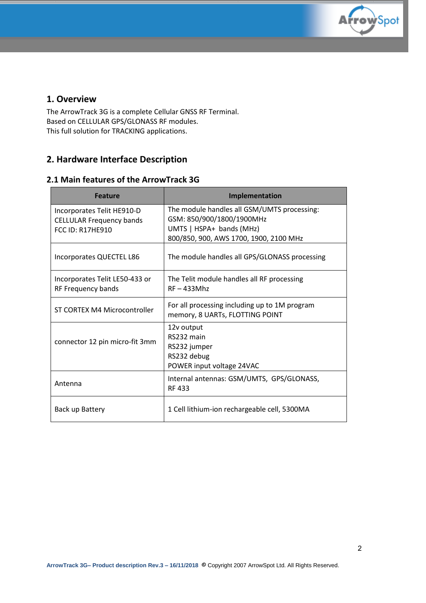

## **1. Overview**

The ArrowTrack 3G is a complete Cellular GNSS RF Terminal. Based on CELLULAR GPS/GLONASS RF modules. This full solution for TRACKING applications.

# **2. Hardware Interface Description**

## **2.1 Main features of the ArrowTrack 3G**

| <b>Feature</b>                                                                           | Implementation                                                                                                                                 |
|------------------------------------------------------------------------------------------|------------------------------------------------------------------------------------------------------------------------------------------------|
| Incorporates Telit HE910-D<br><b>CELLULAR Frequency bands</b><br><b>FCC ID: R17HE910</b> | The module handles all GSM/UMTS processing:<br>GSM: 850/900/1800/1900MHz<br>UMTS   HSPA+ bands (MHz)<br>800/850, 900, AWS 1700, 1900, 2100 MHz |
| Incorporates QUECTEL L86                                                                 | The module handles all GPS/GLONASS processing                                                                                                  |
| Incorporates Telit LE50-433 or<br>RF Frequency bands                                     | The Telit module handles all RF processing<br>$RF - 433Mhz$                                                                                    |
| ST CORTEX M4 Microcontroller                                                             | For all processing including up to 1M program<br>memory, 8 UARTs, FLOTTING POINT                                                               |
| connector 12 pin micro-fit 3mm                                                           | 12v output<br>RS232 main<br>RS232 jumper<br>RS232 debug<br>POWER input voltage 24VAC                                                           |
| Antenna                                                                                  | Internal antennas: GSM/UMTS, GPS/GLONASS,<br>RF 433                                                                                            |
| Back up Battery                                                                          | 1 Cell lithium-ion rechargeable cell, 5300MA                                                                                                   |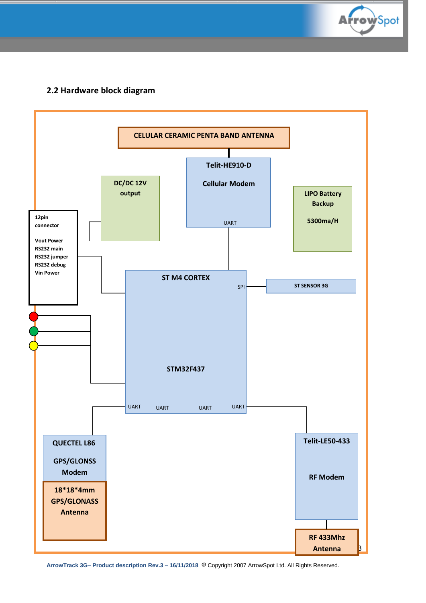

# **2.2 Hardware block diagram**



**ArrowTrack 3G– Product description Rev.3 – 16/11/2018** © Copyright 2007 ArrowSpot Ltd. All Rights Reserved.